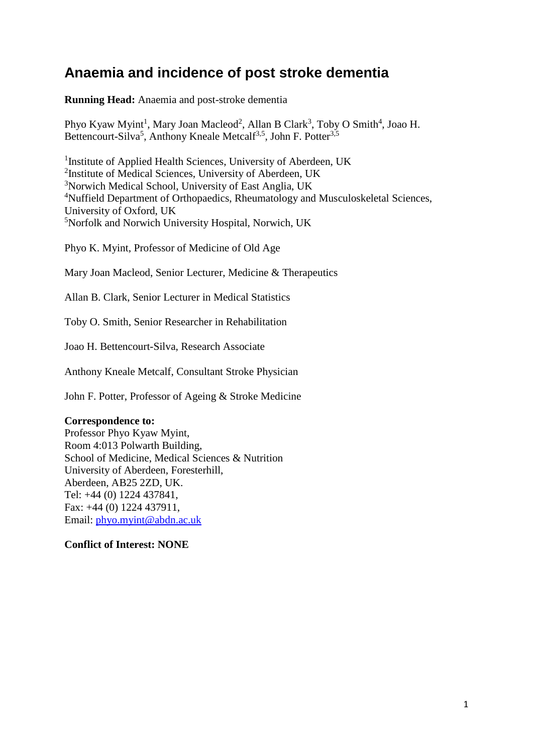# **Anaemia and incidence of post stroke dementia**

**Running Head:** Anaemia and post-stroke dementia

Phyo Kyaw Myint<sup>1</sup>, Mary Joan Macleod<sup>2</sup>, Allan B Clark<sup>3</sup>, Toby O Smith<sup>4</sup>, Joao H. Bettencourt-Silva<sup>5</sup>, Anthony Kneale Metcalf<sup>3,5</sup>, John F. Potter<sup>3,5</sup>

<sup>1</sup> Institute of Applied Health Sciences, University of Aberdeen, UK <sup>2</sup>Institute of Medical Sciences, University of Aberdeen, UK <sup>3</sup>Norwich Medical School, University of East Anglia, UK <sup>4</sup>Nuffield Department of Orthopaedics, Rheumatology and Musculoskeletal Sciences, University of Oxford, UK <sup>5</sup>Norfolk and Norwich University Hospital, Norwich, UK

Phyo K. Myint, Professor of Medicine of Old Age

Mary Joan Macleod, Senior Lecturer, Medicine & Therapeutics

Allan B. Clark, Senior Lecturer in Medical Statistics

Toby O. Smith, Senior Researcher in Rehabilitation

Joao H. Bettencourt-Silva, Research Associate

Anthony Kneale Metcalf, Consultant Stroke Physician

John F. Potter, Professor of Ageing & Stroke Medicine

## **Correspondence to:**

Professor Phyo Kyaw Myint, Room 4:013 Polwarth Building, School of Medicine, Medical Sciences & Nutrition University of Aberdeen, Foresterhill, Aberdeen, AB25 2ZD, UK. Tel: +44 (0) 1224 437841, Fax: +44 (0) 1224 437911, Email: [phyo.myint@abdn.ac.uk](mailto:phyo.myint@abdn.ac.uk)

**Conflict of Interest: NONE**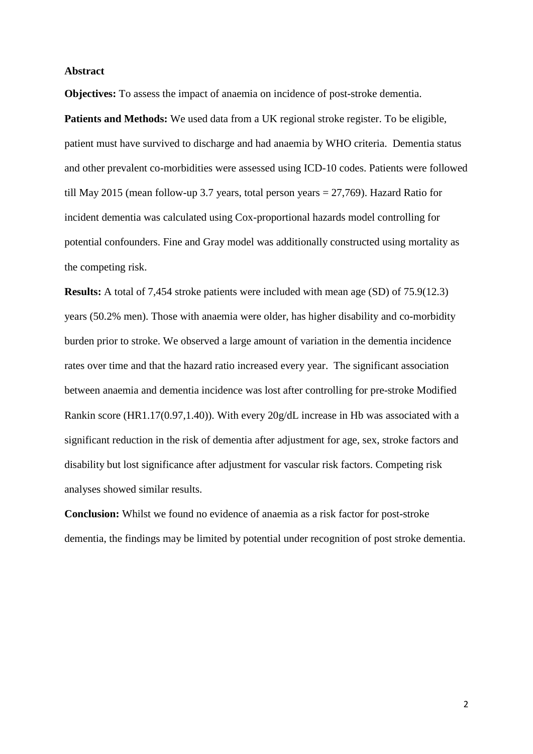#### **Abstract**

**Objectives:** To assess the impact of anaemia on incidence of post-stroke dementia.

Patients and Methods: We used data from a UK regional stroke register. To be eligible, patient must have survived to discharge and had anaemia by WHO criteria. Dementia status and other prevalent co-morbidities were assessed using ICD-10 codes. Patients were followed till May 2015 (mean follow-up 3.7 years, total person years = 27,769). Hazard Ratio for incident dementia was calculated using Cox-proportional hazards model controlling for potential confounders. Fine and Gray model was additionally constructed using mortality as the competing risk.

**Results:** A total of 7,454 stroke patients were included with mean age (SD) of 75.9(12.3) years (50.2% men). Those with anaemia were older, has higher disability and co-morbidity burden prior to stroke. We observed a large amount of variation in the dementia incidence rates over time and that the hazard ratio increased every year. The significant association between anaemia and dementia incidence was lost after controlling for pre-stroke Modified Rankin score (HR1.17(0.97,1.40)). With every 20g/dL increase in Hb was associated with a significant reduction in the risk of dementia after adjustment for age, sex, stroke factors and disability but lost significance after adjustment for vascular risk factors. Competing risk analyses showed similar results.

**Conclusion:** Whilst we found no evidence of anaemia as a risk factor for post-stroke dementia, the findings may be limited by potential under recognition of post stroke dementia.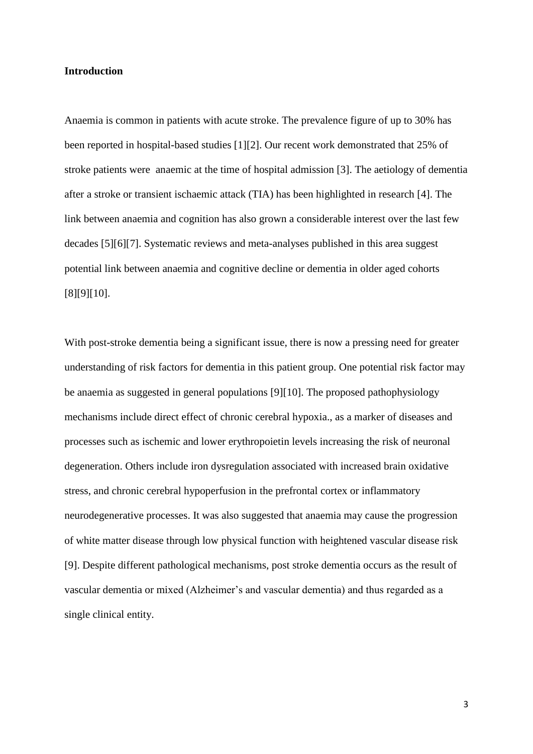#### **Introduction**

Anaemia is common in patients with acute stroke. The prevalence figure of up to 30% has been reported in hospital-based studies [1][2]. Our recent work demonstrated that 25% of stroke patients were anaemic at the time of hospital admission [3]. The aetiology of dementia after a stroke or transient ischaemic attack (TIA) has been highlighted in research [4]. The link between anaemia and cognition has also grown a considerable interest over the last few decades [5][6][7]. Systematic reviews and meta-analyses published in this area suggest potential link between anaemia and cognitive decline or dementia in older aged cohorts [8][9][10].

With post-stroke dementia being a significant issue, there is now a pressing need for greater understanding of risk factors for dementia in this patient group. One potential risk factor may be anaemia as suggested in general populations [9][10]. The proposed pathophysiology mechanisms include direct effect of chronic cerebral hypoxia., as a marker of diseases and processes such as ischemic and lower erythropoietin levels increasing the risk of neuronal degeneration. Others include iron dysregulation associated with increased brain oxidative stress, and chronic cerebral hypoperfusion in the prefrontal cortex or inflammatory neurodegenerative processes. It was also suggested that anaemia may cause the progression of white matter disease through low physical function with heightened vascular disease risk [9]. Despite different pathological mechanisms, post stroke dementia occurs as the result of vascular dementia or mixed (Alzheimer's and vascular dementia) and thus regarded as a single clinical entity.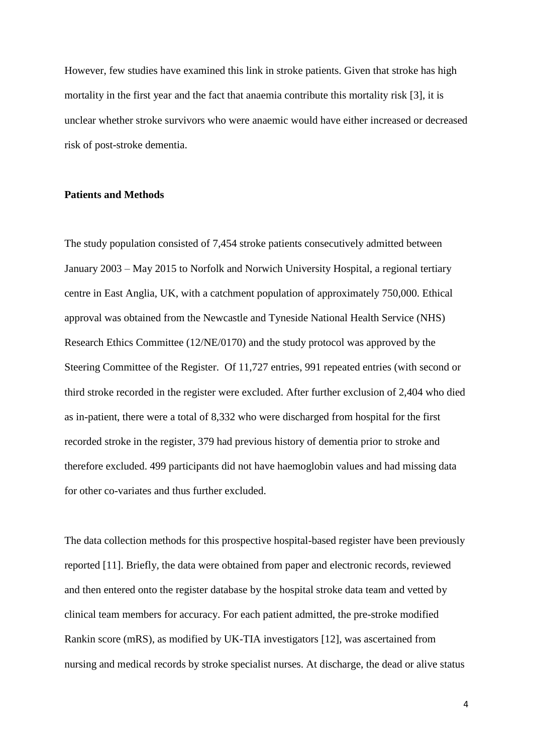However, few studies have examined this link in stroke patients. Given that stroke has high mortality in the first year and the fact that anaemia contribute this mortality risk [3], it is unclear whether stroke survivors who were anaemic would have either increased or decreased risk of post-stroke dementia.

## **Patients and Methods**

The study population consisted of 7,454 stroke patients consecutively admitted between January 2003 – May 2015 to Norfolk and Norwich University Hospital, a regional tertiary centre in East Anglia, UK, with a catchment population of approximately 750,000. Ethical approval was obtained from the Newcastle and Tyneside National Health Service (NHS) Research Ethics Committee (12/NE/0170) and the study protocol was approved by the Steering Committee of the Register. Of 11,727 entries, 991 repeated entries (with second or third stroke recorded in the register were excluded. After further exclusion of 2,404 who died as in-patient, there were a total of 8,332 who were discharged from hospital for the first recorded stroke in the register, 379 had previous history of dementia prior to stroke and therefore excluded. 499 participants did not have haemoglobin values and had missing data for other co-variates and thus further excluded.

The data collection methods for this prospective hospital-based register have been previously reported [11]. Briefly, the data were obtained from paper and electronic records, reviewed and then entered onto the register database by the hospital stroke data team and vetted by clinical team members for accuracy. For each patient admitted, the pre-stroke modified Rankin score (mRS), as modified by UK-TIA investigators [12], was ascertained from nursing and medical records by stroke specialist nurses. At discharge, the dead or alive status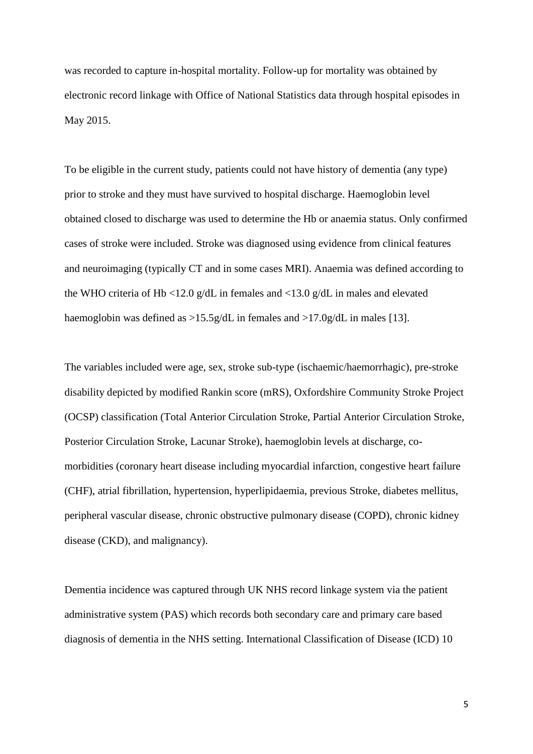was recorded to capture in-hospital mortality. Follow-up for mortality was obtained by electronic record linkage with Office of National Statistics data through hospital episodes in May 2015.

To be eligible in the current study, patients could not have history of dementia (any type) prior to stroke and they must have survived to hospital discharge. Haemoglobin level obtained closed to discharge was used to determine the Hb or anaemia status. Only confirmed cases of stroke were included. Stroke was diagnosed using evidence from clinical features and neuroimaging (typically CT and in some cases MRI). Anaemia was defined according to the WHO criteria of Hb <12.0 g/dL in females and <13.0 g/dL in males and elevated haemoglobin was defined as >15.5g/dL in females and >17.0g/dL in males [13].

The variables included were age, sex, stroke sub-type (ischaemic/haemorrhagic), pre-stroke disability depicted by modified Rankin score (mRS), Oxfordshire Community Stroke Project (OCSP) classification (Total Anterior Circulation Stroke, Partial Anterior Circulation Stroke, Posterior Circulation Stroke, Lacunar Stroke), haemoglobin levels at discharge, comorbidities (coronary heart disease including myocardial infarction, congestive heart failure (CHF), atrial fibrillation, hypertension, hyperlipidaemia, previous Stroke, diabetes mellitus, peripheral vascular disease, chronic obstructive pulmonary disease (COPD), chronic kidney disease (CKD), and malignancy).

Dementia incidence was captured through UK NHS record linkage system via the patient administrative system (PAS) which records both secondary care and primary care based diagnosis of dementia in the NHS setting. International Classification of Disease (ICD) 10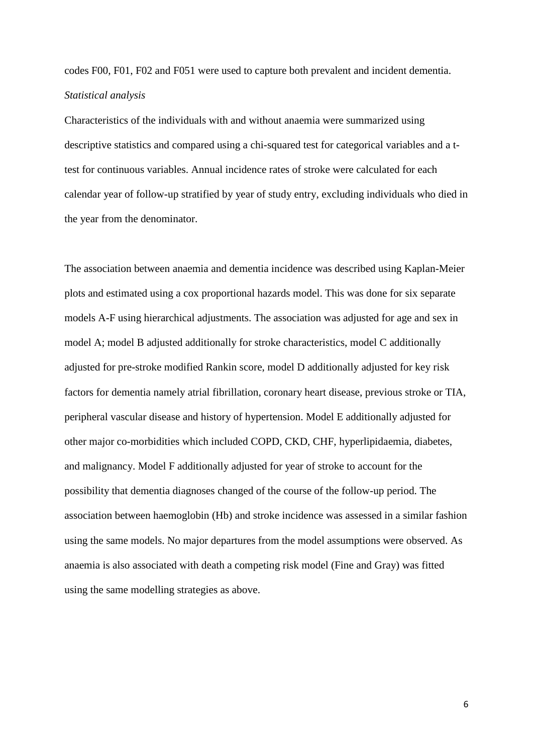codes F00, F01, F02 and F051 were used to capture both prevalent and incident dementia. *Statistical analysis*

Characteristics of the individuals with and without anaemia were summarized using descriptive statistics and compared using a chi-squared test for categorical variables and a ttest for continuous variables. Annual incidence rates of stroke were calculated for each calendar year of follow-up stratified by year of study entry, excluding individuals who died in the year from the denominator.

The association between anaemia and dementia incidence was described using Kaplan-Meier plots and estimated using a cox proportional hazards model. This was done for six separate models A-F using hierarchical adjustments. The association was adjusted for age and sex in model A; model B adjusted additionally for stroke characteristics, model C additionally adjusted for pre-stroke modified Rankin score, model D additionally adjusted for key risk factors for dementia namely atrial fibrillation, coronary heart disease, previous stroke or TIA, peripheral vascular disease and history of hypertension. Model E additionally adjusted for other major co-morbidities which included COPD, CKD, CHF, hyperlipidaemia, diabetes, and malignancy. Model F additionally adjusted for year of stroke to account for the possibility that dementia diagnoses changed of the course of the follow-up period. The association between haemoglobin (Hb) and stroke incidence was assessed in a similar fashion using the same models. No major departures from the model assumptions were observed. As anaemia is also associated with death a competing risk model (Fine and Gray) was fitted using the same modelling strategies as above.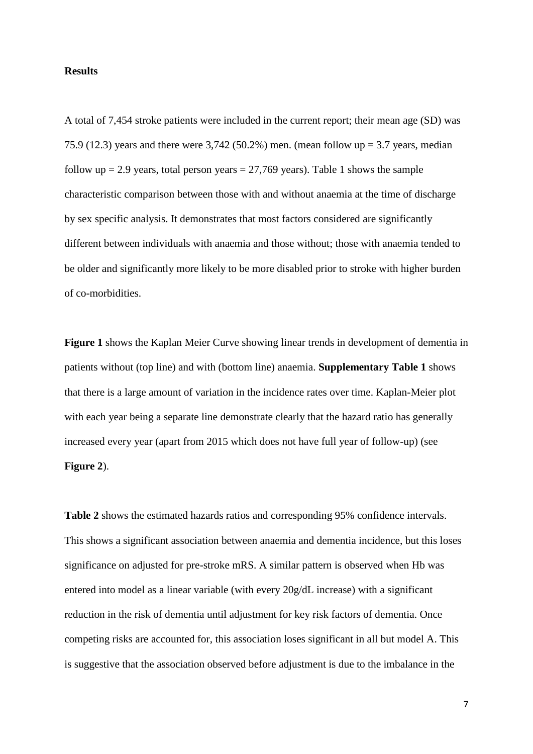#### **Results**

A total of 7,454 stroke patients were included in the current report; their mean age (SD) was 75.9 (12.3) years and there were 3,742 (50.2%) men. (mean follow up = 3.7 years, median follow up = 2.9 years, total person years =  $27,769$  years). Table 1 shows the sample characteristic comparison between those with and without anaemia at the time of discharge by sex specific analysis. It demonstrates that most factors considered are significantly different between individuals with anaemia and those without; those with anaemia tended to be older and significantly more likely to be more disabled prior to stroke with higher burden of co-morbidities.

**Figure 1** shows the Kaplan Meier Curve showing linear trends in development of dementia in patients without (top line) and with (bottom line) anaemia. **Supplementary Table 1** shows that there is a large amount of variation in the incidence rates over time. Kaplan-Meier plot with each year being a separate line demonstrate clearly that the hazard ratio has generally increased every year (apart from 2015 which does not have full year of follow-up) (see **Figure 2**).

**Table 2** shows the estimated hazards ratios and corresponding 95% confidence intervals. This shows a significant association between anaemia and dementia incidence, but this loses significance on adjusted for pre-stroke mRS. A similar pattern is observed when Hb was entered into model as a linear variable (with every 20g/dL increase) with a significant reduction in the risk of dementia until adjustment for key risk factors of dementia. Once competing risks are accounted for, this association loses significant in all but model A. This is suggestive that the association observed before adjustment is due to the imbalance in the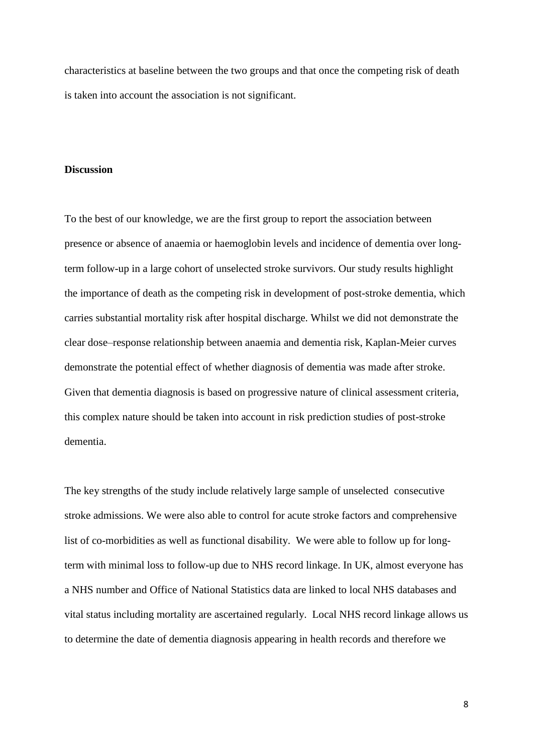characteristics at baseline between the two groups and that once the competing risk of death is taken into account the association is not significant.

#### **Discussion**

To the best of our knowledge, we are the first group to report the association between presence or absence of anaemia or haemoglobin levels and incidence of dementia over longterm follow-up in a large cohort of unselected stroke survivors. Our study results highlight the importance of death as the competing risk in development of post-stroke dementia, which carries substantial mortality risk after hospital discharge. Whilst we did not demonstrate the clear dose–response relationship between anaemia and dementia risk, Kaplan-Meier curves demonstrate the potential effect of whether diagnosis of dementia was made after stroke. Given that dementia diagnosis is based on progressive nature of clinical assessment criteria, this complex nature should be taken into account in risk prediction studies of post-stroke dementia.

The key strengths of the study include relatively large sample of unselected consecutive stroke admissions. We were also able to control for acute stroke factors and comprehensive list of co-morbidities as well as functional disability. We were able to follow up for longterm with minimal loss to follow-up due to NHS record linkage. In UK, almost everyone has a NHS number and Office of National Statistics data are linked to local NHS databases and vital status including mortality are ascertained regularly. Local NHS record linkage allows us to determine the date of dementia diagnosis appearing in health records and therefore we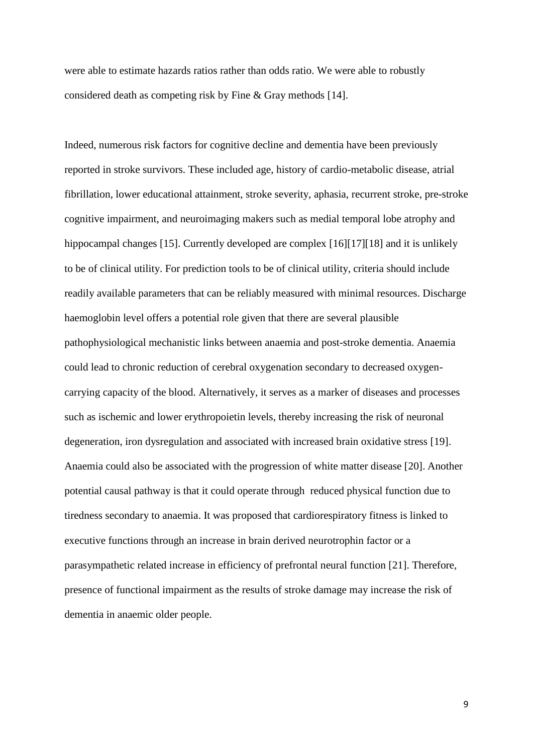were able to estimate hazards ratios rather than odds ratio. We were able to robustly considered death as competing risk by Fine & Gray methods [14].

Indeed, numerous risk factors for cognitive decline and dementia have been previously reported in stroke survivors. These included age, history of cardio-metabolic disease, atrial fibrillation, lower educational attainment, stroke severity, aphasia, recurrent stroke, pre-stroke cognitive impairment, and neuroimaging makers such as medial temporal lobe atrophy and hippocampal changes [15]. Currently developed are complex [16][17][18] and it is unlikely to be of clinical utility. For prediction tools to be of clinical utility, criteria should include readily available parameters that can be reliably measured with minimal resources. Discharge haemoglobin level offers a potential role given that there are several plausible pathophysiological mechanistic links between anaemia and post-stroke dementia. Anaemia could lead to chronic reduction of cerebral oxygenation secondary to decreased oxygencarrying capacity of the blood. Alternatively, it serves as a marker of diseases and processes such as ischemic and lower erythropoietin levels, thereby increasing the risk of neuronal degeneration, iron dysregulation and associated with increased brain oxidative stress [19]. Anaemia could also be associated with the progression of white matter disease [20]. Another potential causal pathway is that it could operate through reduced physical function due to tiredness secondary to anaemia. It was proposed that cardiorespiratory fitness is linked to executive functions through an increase in brain derived neurotrophin factor or a parasympathetic related increase in efficiency of prefrontal neural function [21]. Therefore, presence of functional impairment as the results of stroke damage may increase the risk of dementia in anaemic older people.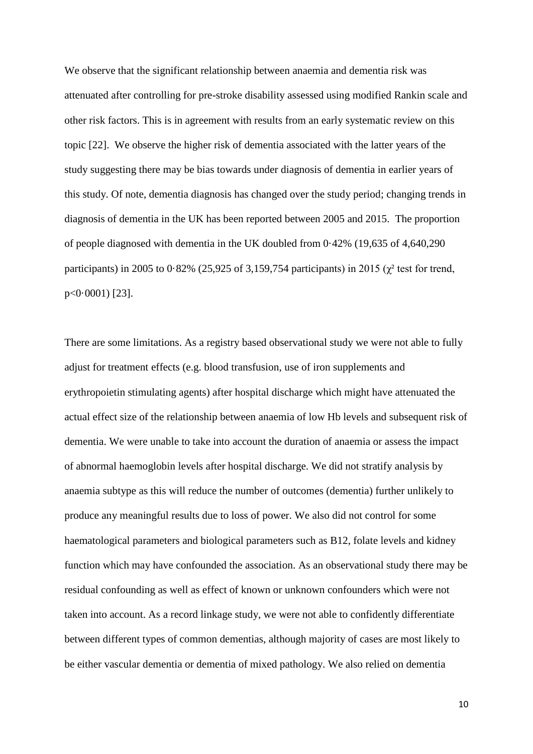We observe that the significant relationship between anaemia and dementia risk was attenuated after controlling for pre-stroke disability assessed using modified Rankin scale and other risk factors. This is in agreement with results from an early systematic review on this topic [22]. We observe the higher risk of dementia associated with the latter years of the study suggesting there may be bias towards under diagnosis of dementia in earlier years of this study. Of note, dementia diagnosis has changed over the study period; changing trends in diagnosis of dementia in the UK has been reported between 2005 and 2015. The proportion of people diagnosed with dementia in the UK doubled from 0·42% (19,635 of 4,640,290 participants) in 2005 to 0.82% (25,925 of 3,159,754 participants) in 2015 ( $\chi^2$  test for trend, p<0·0001) [23].

There are some limitations. As a registry based observational study we were not able to fully adjust for treatment effects (e.g. blood transfusion, use of iron supplements and erythropoietin stimulating agents) after hospital discharge which might have attenuated the actual effect size of the relationship between anaemia of low Hb levels and subsequent risk of dementia. We were unable to take into account the duration of anaemia or assess the impact of abnormal haemoglobin levels after hospital discharge. We did not stratify analysis by anaemia subtype as this will reduce the number of outcomes (dementia) further unlikely to produce any meaningful results due to loss of power. We also did not control for some haematological parameters and biological parameters such as B12, folate levels and kidney function which may have confounded the association. As an observational study there may be residual confounding as well as effect of known or unknown confounders which were not taken into account. As a record linkage study, we were not able to confidently differentiate between different types of common dementias, although majority of cases are most likely to be either vascular dementia or dementia of mixed pathology. We also relied on dementia

10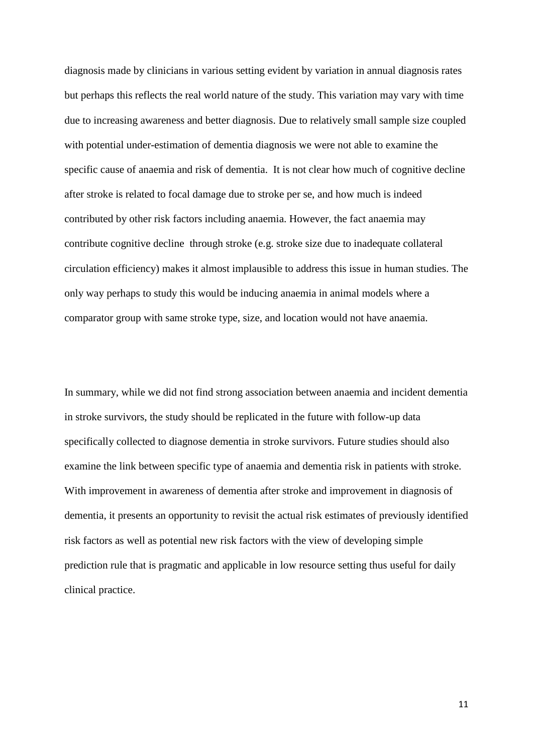diagnosis made by clinicians in various setting evident by variation in annual diagnosis rates but perhaps this reflects the real world nature of the study. This variation may vary with time due to increasing awareness and better diagnosis. Due to relatively small sample size coupled with potential under-estimation of dementia diagnosis we were not able to examine the specific cause of anaemia and risk of dementia. It is not clear how much of cognitive decline after stroke is related to focal damage due to stroke per se, and how much is indeed contributed by other risk factors including anaemia. However, the fact anaemia may contribute cognitive decline through stroke (e.g. stroke size due to inadequate collateral circulation efficiency) makes it almost implausible to address this issue in human studies. The only way perhaps to study this would be inducing anaemia in animal models where a comparator group with same stroke type, size, and location would not have anaemia.

In summary, while we did not find strong association between anaemia and incident dementia in stroke survivors, the study should be replicated in the future with follow-up data specifically collected to diagnose dementia in stroke survivors. Future studies should also examine the link between specific type of anaemia and dementia risk in patients with stroke. With improvement in awareness of dementia after stroke and improvement in diagnosis of dementia, it presents an opportunity to revisit the actual risk estimates of previously identified risk factors as well as potential new risk factors with the view of developing simple prediction rule that is pragmatic and applicable in low resource setting thus useful for daily clinical practice.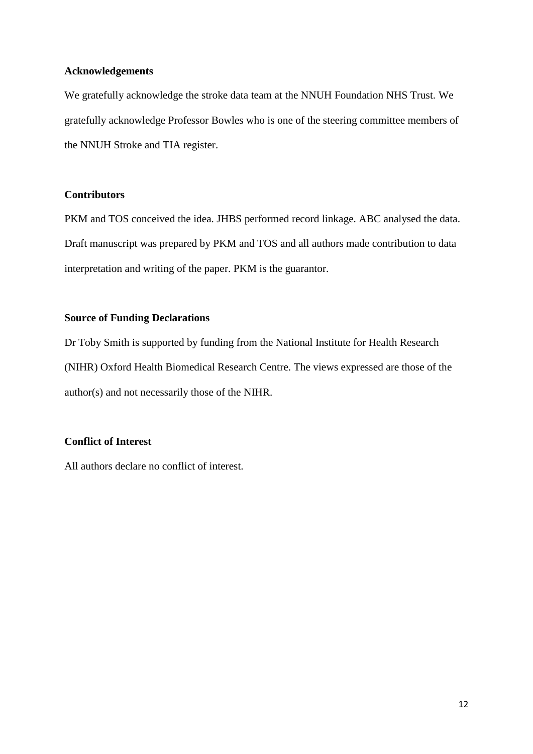#### **Acknowledgements**

We gratefully acknowledge the stroke data team at the NNUH Foundation NHS Trust. We gratefully acknowledge Professor Bowles who is one of the steering committee members of the NNUH Stroke and TIA register.

## **Contributors**

PKM and TOS conceived the idea. JHBS performed record linkage. ABC analysed the data. Draft manuscript was prepared by PKM and TOS and all authors made contribution to data interpretation and writing of the paper. PKM is the guarantor.

## **Source of Funding Declarations**

Dr Toby Smith is supported by funding from the National Institute for Health Research (NIHR) Oxford Health Biomedical Research Centre. The views expressed are those of the author(s) and not necessarily those of the NIHR.

## **Conflict of Interest**

All authors declare no conflict of interest.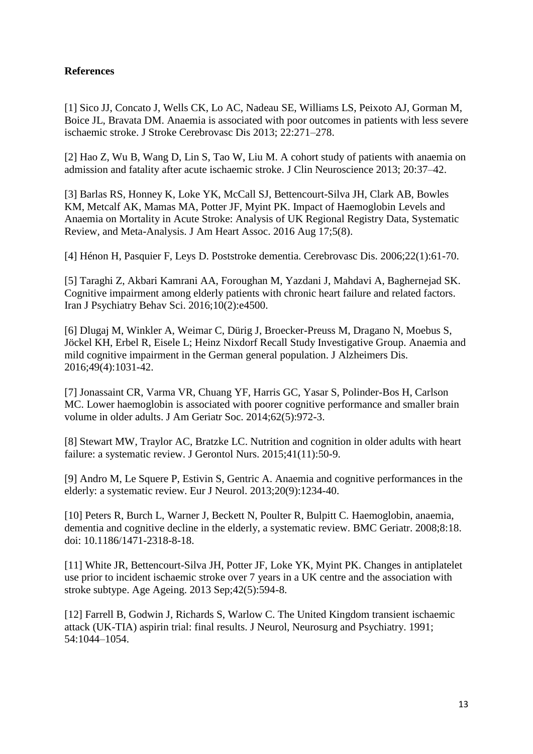# **References**

[1] Sico JJ, Concato J, Wells CK, Lo AC, Nadeau SE, Williams LS, Peixoto AJ, Gorman M, Boice JL, Bravata DM. Anaemia is associated with poor outcomes in patients with less severe ischaemic stroke. J Stroke Cerebrovasc Dis 2013; 22:271–278.

[2] Hao Z, Wu B, Wang D, Lin S, Tao W, Liu M. A cohort study of patients with anaemia on admission and fatality after acute ischaemic stroke. J Clin Neuroscience 2013; 20:37–42.

[3] Barlas RS, Honney K, Loke YK, McCall SJ, Bettencourt-Silva JH, Clark AB, Bowles KM, Metcalf AK, Mamas MA, Potter JF, Myint PK. Impact of Haemoglobin Levels and Anaemia on Mortality in Acute Stroke: Analysis of UK Regional Registry Data, Systematic Review, and Meta-Analysis. J Am Heart Assoc. 2016 Aug 17;5(8).

[4] Hénon H, Pasquier F, Leys D. Poststroke dementia. Cerebrovasc Dis. 2006;22(1):61-70.

[5] Taraghi Z, Akbari Kamrani AA, Foroughan M, Yazdani J, Mahdavi A, Baghernejad SK. Cognitive impairment among elderly patients with chronic heart failure and related factors. Iran J Psychiatry Behav Sci. 2016;10(2):e4500.

[6] Dlugaj M, Winkler A, Weimar C, Dürig J, Broecker-Preuss M, Dragano N, Moebus S, Jöckel KH, Erbel R, Eisele L; Heinz Nixdorf Recall Study Investigative Group. Anaemia and mild cognitive impairment in the German general population. J Alzheimers Dis. 2016;49(4):1031-42.

[7] Jonassaint CR, Varma VR, Chuang YF, Harris GC, Yasar S, Polinder-Bos H, Carlson MC. Lower haemoglobin is associated with poorer cognitive performance and smaller brain volume in older adults. J Am Geriatr Soc. 2014;62(5):972-3.

[8] Stewart MW, Traylor AC, Bratzke LC. Nutrition and cognition in older adults with heart failure: a systematic review. J Gerontol Nurs. 2015;41(11):50-9.

[9] Andro M, Le Squere P, Estivin S, Gentric A. Anaemia and cognitive performances in the elderly: a systematic review. Eur J Neurol. 2013;20(9):1234-40.

[10] Peters R, Burch L, Warner J, Beckett N, Poulter R, Bulpitt C. Haemoglobin, anaemia, dementia and cognitive decline in the elderly, a systematic review. BMC Geriatr. 2008;8:18. doi: 10.1186/1471-2318-8-18.

[11] White JR, Bettencourt-Silva JH, Potter JF, Loke YK, Myint PK. Changes in antiplatelet use prior to incident ischaemic stroke over 7 years in a UK centre and the association with stroke subtype. Age Ageing. 2013 Sep;42(5):594-8.

[12] Farrell B, Godwin J, Richards S, Warlow C. The United Kingdom transient ischaemic attack (UK-TIA) aspirin trial: final results. J Neurol, Neurosurg and Psychiatry. 1991; 54:1044–1054.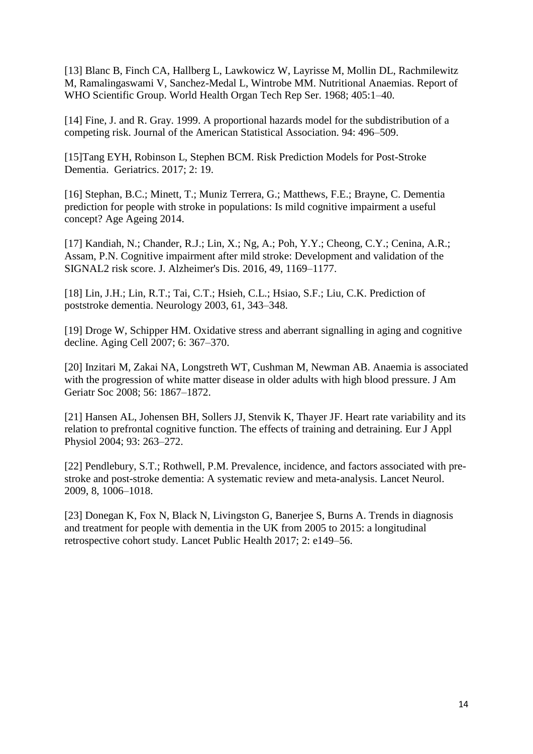[13] Blanc B, Finch CA, Hallberg L, Lawkowicz W, Layrisse M, Mollin DL, Rachmilewitz M, Ramalingaswami V, Sanchez-Medal L, Wintrobe MM. Nutritional Anaemias. Report of WHO Scientific Group. World Health Organ Tech Rep Ser. 1968; 405:1–40.

[14] Fine, J. and R. Gray. 1999. A proportional hazards model for the subdistribution of a competing risk. Journal of the American Statistical Association. 94: 496–509.

[15]Tang EYH, Robinson L, Stephen BCM. Risk Prediction Models for Post-Stroke Dementia. Geriatrics. 2017; 2: 19.

[16] Stephan, B.C.; Minett, T.; Muniz Terrera, G.; Matthews, F.E.; Brayne, C. Dementia prediction for people with stroke in populations: Is mild cognitive impairment a useful concept? Age Ageing 2014.

[17] Kandiah, N.; Chander, R.J.; Lin, X.; Ng, A.; Poh, Y.Y.; Cheong, C.Y.; Cenina, A.R.; Assam, P.N. Cognitive impairment after mild stroke: Development and validation of the SIGNAL2 risk score. J. Alzheimer's Dis. 2016, 49, 1169–1177.

[18] Lin, J.H.; Lin, R.T.; Tai, C.T.; Hsieh, C.L.; Hsiao, S.F.; Liu, C.K. Prediction of poststroke dementia. Neurology 2003, 61, 343–348.

[19] Droge W, Schipper HM. Oxidative stress and aberrant signalling in aging and cognitive decline. Aging Cell 2007; 6: 367–370.

[20] Inzitari M, Zakai NA, Longstreth WT, Cushman M, Newman AB. Anaemia is associated with the progression of white matter disease in older adults with high blood pressure. J Am Geriatr Soc 2008; 56: 1867–1872.

[21] Hansen AL, Johensen BH, Sollers JJ, Stenvik K, Thayer JF. Heart rate variability and its relation to prefrontal cognitive function. The effects of training and detraining. Eur J Appl Physiol 2004; 93: 263–272.

[22] Pendlebury, S.T.; Rothwell, P.M. Prevalence, incidence, and factors associated with prestroke and post-stroke dementia: A systematic review and meta-analysis. Lancet Neurol. 2009, 8, 1006–1018.

[23] Donegan K, Fox N, Black N, Livingston G, Banerjee S, Burns A. Trends in diagnosis and treatment for people with dementia in the UK from 2005 to 2015: a longitudinal retrospective cohort study. Lancet Public Health 2017; 2: e149–56.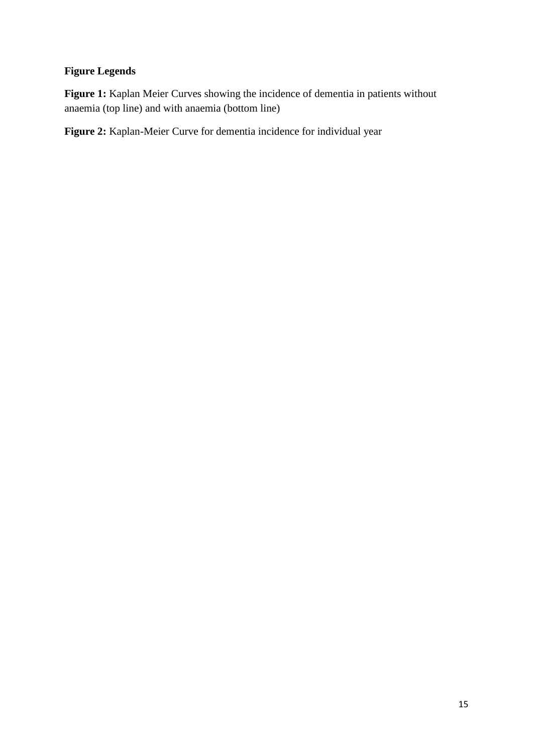# **Figure Legends**

Figure 1: Kaplan Meier Curves showing the incidence of dementia in patients without anaemia (top line) and with anaemia (bottom line)

**Figure 2:** Kaplan-Meier Curve for dementia incidence for individual year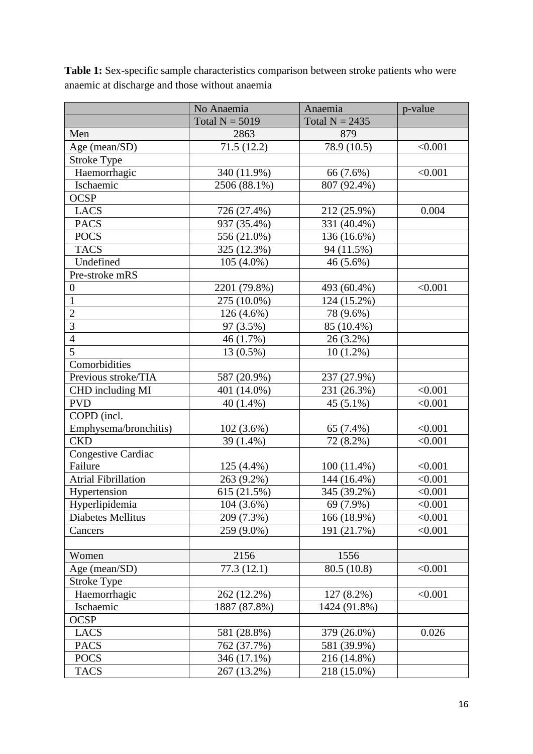|                            | Anaemia<br>No Anaemia                |               | p-value |
|----------------------------|--------------------------------------|---------------|---------|
|                            | Total $N = 5019$<br>Total $N = 2435$ |               |         |
| Men                        | 2863                                 | 879           |         |
| Age (mean/SD)              | 71.5(12.2)                           | 78.9 (10.5)   | < 0.001 |
| <b>Stroke Type</b>         |                                      |               |         |
| Haemorrhagic               | 340 (11.9%)                          | 66 (7.6%)     | < 0.001 |
| Ischaemic                  | 2506 (88.1%)                         | 807 (92.4%)   |         |
| <b>OCSP</b>                |                                      |               |         |
| <b>LACS</b>                | 726 (27.4%)                          | 212 (25.9%)   | 0.004   |
| <b>PACS</b>                | 937 (35.4%)                          | 331 (40.4%)   |         |
| <b>POCS</b>                | 556 (21.0%)                          | 136 (16.6%)   |         |
| <b>TACS</b>                | 325 (12.3%)                          | 94 (11.5%)    |         |
| Undefined                  | $105(4.0\%)$                         | $46(5.6\%)$   |         |
| Pre-stroke mRS             |                                      |               |         |
| $\boldsymbol{0}$           | 2201 (79.8%)                         | 493 (60.4%)   | < 0.001 |
| $\mathbf{1}$               | 275 (10.0%)                          | 124 (15.2%)   |         |
| $\overline{2}$             | $126(4.6\%)$                         | 78 (9.6%)     |         |
| $\overline{3}$             | 97 (3.5%)                            | 85 (10.4%)    |         |
| $\overline{4}$             | 46 (1.7%)                            | 26 (3.2%)     |         |
| $\overline{5}$             | 13 (0.5%)                            | $10(1.2\%)$   |         |
| Comorbidities              |                                      |               |         |
| Previous stroke/TIA        | 587 (20.9%)                          | 237 (27.9%)   |         |
| CHD including MI           | 401 (14.0%)                          | 231 (26.3%)   | < 0.001 |
| <b>PVD</b>                 | $40(1.4\%)$                          | $45(5.1\%)$   | < 0.001 |
| COPD (incl.                |                                      |               |         |
| Emphysema/bronchitis)      | 102(3.6%)                            | 65 (7.4%)     | < 0.001 |
| <b>CKD</b>                 | 39 (1.4%)                            | 72 (8.2%)     | < 0.001 |
| <b>Congestive Cardiac</b>  |                                      |               |         |
| Failure                    | 125 (4.4%)                           | $100(11.4\%)$ | < 0.001 |
| <b>Atrial Fibrillation</b> | 263 (9.2%)                           | 144 (16.4%)   | < 0.001 |
| Hypertension               | 615 (21.5%)                          | 345 (39.2%)   | < 0.001 |
| Hyperlipidemia             | $104(3.6\%)$                         | 69 (7.9%)     | < 0.001 |
| Diabetes Mellitus          | 209 (7.3%)                           | 166 (18.9%)   | < 0.001 |
| Cancers                    | 259 (9.0%)                           | 191 (21.7%)   | < 0.001 |
|                            |                                      |               |         |
| Women                      | 2156                                 | 1556          |         |
| Age (mean/SD)              | 77.3(12.1)                           | 80.5 (10.8)   | < 0.001 |
| <b>Stroke Type</b>         |                                      |               |         |
| Haemorrhagic               | 262 (12.2%)                          | 127 (8.2%)    | < 0.001 |
| Ischaemic                  | 1887 (87.8%)                         | 1424 (91.8%)  |         |
| <b>OCSP</b>                |                                      |               |         |
| <b>LACS</b>                | 581 (28.8%)                          | 379 (26.0%)   | 0.026   |
| <b>PACS</b>                | 762 (37.7%)                          | 581 (39.9%)   |         |
| <b>POCS</b>                | 346 (17.1%)                          | 216 (14.8%)   |         |
| <b>TACS</b>                | 267 (13.2%)                          | 218 (15.0%)   |         |

**Table 1:** Sex-specific sample characteristics comparison between stroke patients who were anaemic at discharge and those without anaemia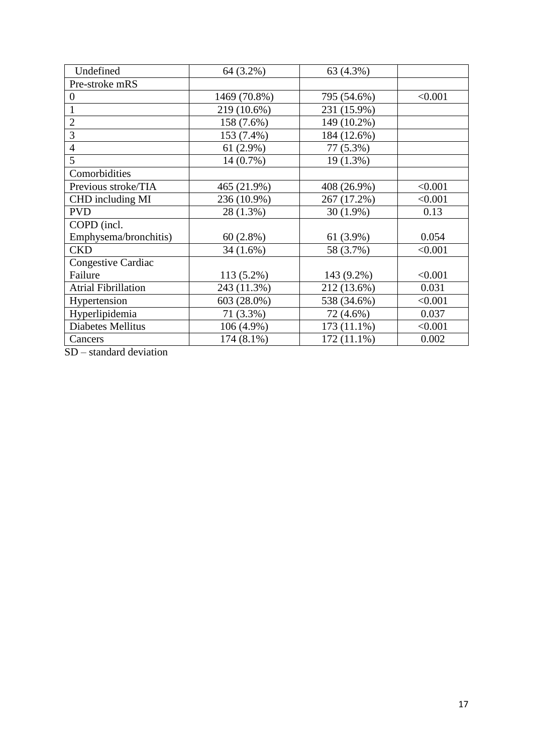| Undefined                  | 64 (3.2%)    | 63 (4.3%)     |         |
|----------------------------|--------------|---------------|---------|
| Pre-stroke mRS             |              |               |         |
| $\boldsymbol{0}$           | 1469 (70.8%) | 795 (54.6%)   | < 0.001 |
|                            | 219 (10.6%)  | 231 (15.9%)   |         |
| $\overline{2}$             | 158 (7.6%)   | 149 (10.2%)   |         |
| 3                          | 153 (7.4%)   | 184 (12.6%)   |         |
| $\overline{4}$             | $61(2.9\%)$  | 77 (5.3%)     |         |
| 5                          | $14(0.7\%)$  | 19 (1.3%)     |         |
| Comorbidities              |              |               |         |
| Previous stroke/TIA        | 465 (21.9%)  | 408 (26.9%)   | < 0.001 |
| CHD including MI           | 236 (10.9%)  | 267 (17.2%)   | < 0.001 |
| <b>PVD</b>                 | 28 (1.3%)    | $30(1.9\%)$   | 0.13    |
| COPD (incl.                |              |               |         |
| Emphysema/bronchitis)      | 60(2.8%)     | $61(3.9\%)$   | 0.054   |
| <b>CKD</b>                 | $34(1.6\%)$  | 58 (3.7%)     | < 0.001 |
| <b>Congestive Cardiac</b>  |              |               |         |
| Failure                    | 113 (5.2%)   | 143 (9.2%)    | < 0.001 |
| <b>Atrial Fibrillation</b> | 243 (11.3%)  | 212 (13.6%)   | 0.031   |
| Hypertension               | 603 (28.0%)  | 538 (34.6%)   | < 0.001 |
| Hyperlipidemia             | 71 (3.3%)    | 72 (4.6%)     | 0.037   |
| <b>Diabetes Mellitus</b>   | 106 (4.9%)   | 173 (11.1%)   | < 0.001 |
| Cancers                    | 174 (8.1%)   | $172(11.1\%)$ | 0.002   |

SD – standard deviation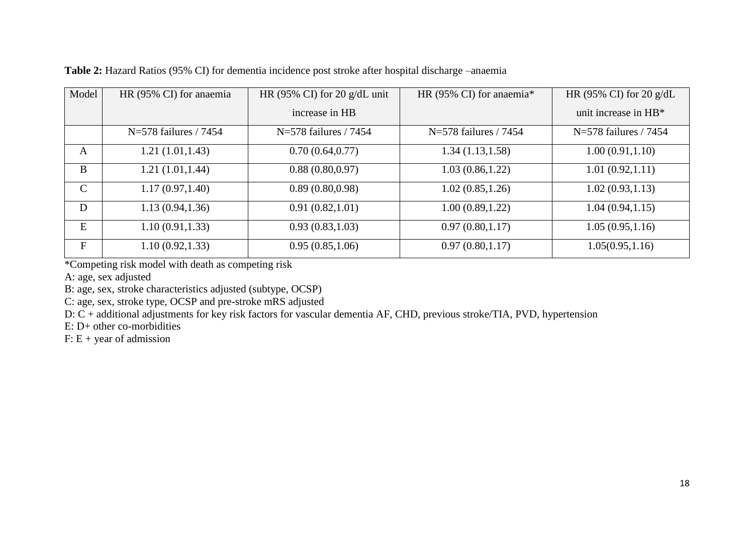| Model         | HR (95% CI) for anaemia | HR (95% CI) for 20 $g/dL$ unit | HR (95% CI) for anaemia* | HR (95% CI) for 20 $g/dL$ |  |
|---------------|-------------------------|--------------------------------|--------------------------|---------------------------|--|
|               |                         | increase in HB                 |                          | unit increase in $HB^*$   |  |
|               | $N=578$ failures / 7454 | $N=578$ failures / 7454        | $N=578$ failures / 7454  | $N=578$ failures / 7454   |  |
| A             | 1.21(1.01, 1.43)        | 0.70(0.64, 0.77)               | 1.34(1.13, 1.58)         | 1.00(0.91, 1.10)          |  |
| B             | 1.21(1.01, 1.44)        | 0.88(0.80, 0.97)               | 1.03(0.86, 1.22)         | 1.01(0.92, 1.11)          |  |
| $\mathcal{C}$ | 1.17(0.97, 1.40)        | 0.89(0.80, 0.98)               | 1.02(0.85, 1.26)         | 1.02(0.93, 1.13)          |  |
| D             | 1.13(0.94, 1.36)        | 0.91(0.82, 1.01)               | 1.00(0.89, 1.22)         | 1.04(0.94, 1.15)          |  |
| E             | 1.10(0.91, 1.33)        | 0.93(0.83, 1.03)               | 0.97(0.80, 1.17)         | 1.05(0.95, 1.16)          |  |
| $\mathbf F$   | 1.10(0.92, 1.33)        | 0.95(0.85,1.06)                | 0.97(0.80, 1.17)         | 1.05(0.95, 1.16)          |  |

**Table 2:** Hazard Ratios (95% CI) for dementia incidence post stroke after hospital discharge –anaemia

\*Competing risk model with death as competing risk

A: age, sex adjusted

B: age, sex, stroke characteristics adjusted (subtype, OCSP)

C: age, sex, stroke type, OCSP and pre-stroke mRS adjusted

D: C + additional adjustments for key risk factors for vascular dementia AF, CHD, previous stroke/TIA, PVD, hypertension

E: D+ other co-morbidities

 $F: E + year$  of admission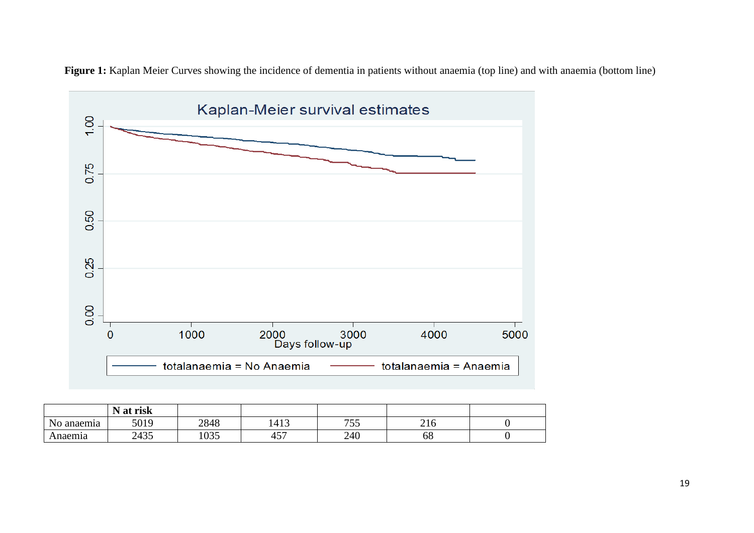

**Figure 1:** Kaplan Meier Curves showing the incidence of dementia in patients without anaemia (top line) and with anaemia (bottom line)

|            | risk<br>$\mathbf{r}$<br>N at |      |           |     |                                      |  |
|------------|------------------------------|------|-----------|-----|--------------------------------------|--|
| No anaemia | 5019                         | 2848 | 1413      | 755 | $\bigcap$ 1 $\bigcap$<br>$\angle 10$ |  |
| Anaemia    | 2435                         | 1035 | $-$<br>45 | 240 | 68                                   |  |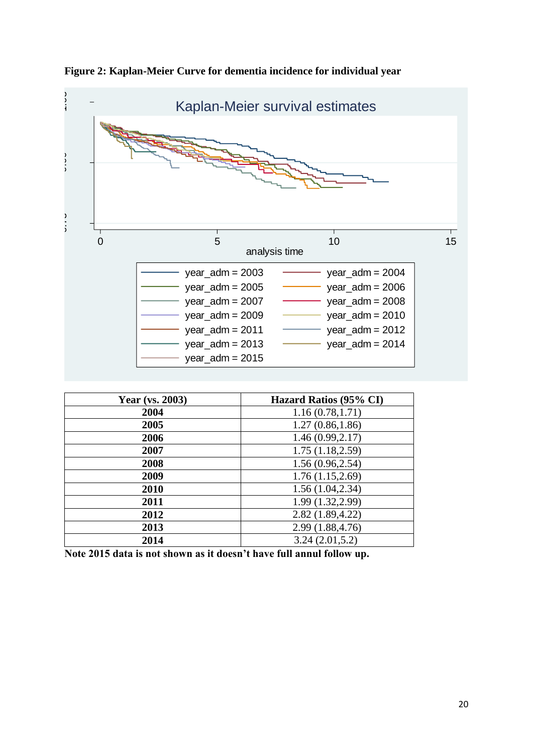

**Figure 2: Kaplan-Meier Curve for dementia incidence for individual year** 

| <b>Year</b> (vs. 2003) | Hazard Ratios (95% CI) |
|------------------------|------------------------|
| 2004                   | 1.16(0.78, 1.71)       |
| 2005                   | 1.27(0.86, 1.86)       |
| 2006                   | 1.46(0.99, 2.17)       |
| 2007                   | 1.75(1.18, 2.59)       |
| 2008                   | 1.56(0.96, 2.54)       |
| 2009                   | 1.76(1.15, 2.69)       |
| 2010                   | 1.56(1.04, 2.34)       |
| 2011                   | 1.99 (1.32, 2.99)      |
| 2012                   | 2.82(1.89, 4.22)       |
| 2013                   | 2.99 (1.88,4.76)       |
| 2014                   | 3.24(2.01,5.2)         |